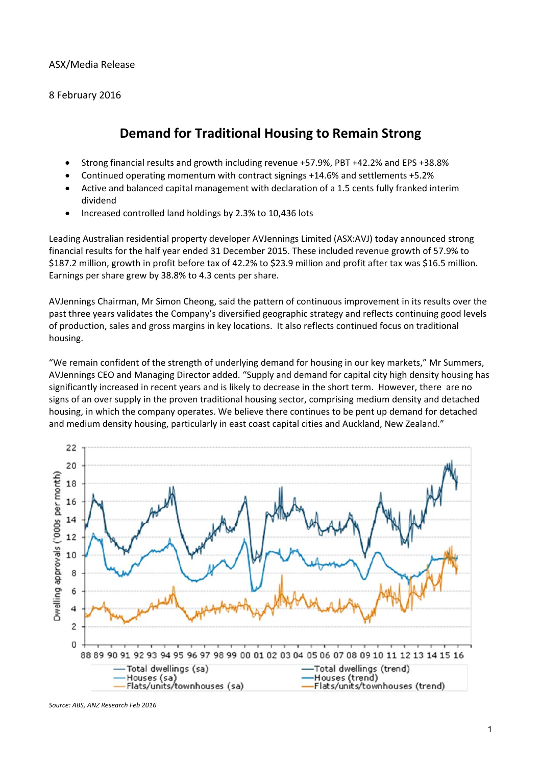### ASX/Media Release

8 February 2016

# **Demand for Traditional Housing to Remain Strong**

- Strong financial results and growth including revenue +57.9%, PBT +42.2% and EPS +38.8%
- Continued operating momentum with contract signings +14.6% and settlements +5.2%
- Active and balanced capital management with declaration of a 1.5 cents fully franked interim dividend
- Increased controlled land holdings by 2.3% to 10,436 lots

Leading Australian residential property developer AVJennings Limited (ASX:AVJ) today announced strong financial results for the half year ended 31 December 2015. These included revenue growth of 57.9% to \$187.2 million, growth in profit before tax of 42.2% to \$23.9 million and profit after tax was \$16.5 million. Earnings per share grew by 38.8% to 4.3 cents per share.

AVJennings Chairman, Mr Simon Cheong, said the pattern of continuous improvement in its results over the past three years validates the Company's diversified geographic strategy and reflects continuing good levels of production, sales and gross margins in key locations. It also reflects continued focus on traditional housing.

"We remain confident of the strength of underlying demand for housing in our key markets," Mr Summers, AVJennings CEO and Managing Director added. "Supply and demand for capital city high density housing has significantly increased in recent years and is likely to decrease in the short term. However, there are no signs of an over supply in the proven traditional housing sector, comprising medium density and detached housing, in which the company operates. We believe there continues to be pent up demand for detached and medium density housing, particularly in east coast capital cities and Auckland, New Zealand."



*Source: ABS, ANZ Research Feb 2016*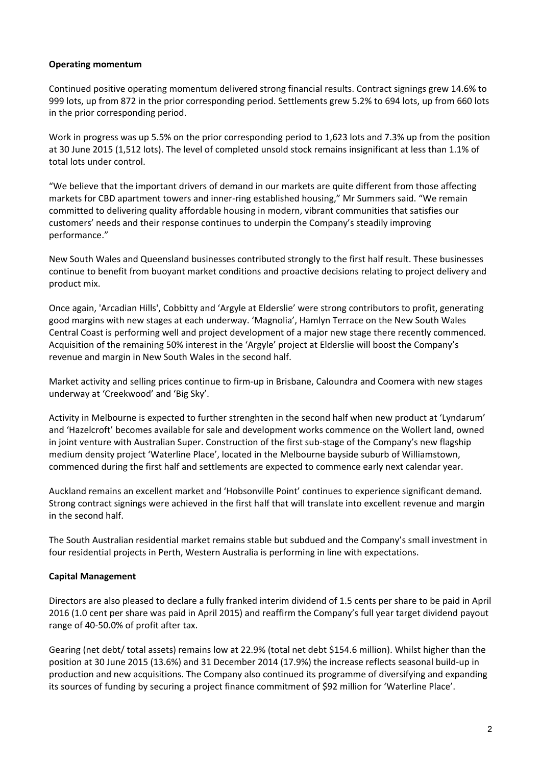### **Operating momentum**

Continued positive operating momentum delivered strong financial results. Contract signings grew 14.6% to 999 lots, up from 872 in the prior corresponding period. Settlements grew 5.2% to 694 lots, up from 660 lots in the prior corresponding period.

Work in progress was up 5.5% on the prior corresponding period to 1,623 lots and 7.3% up from the position at 30 June 2015 (1,512 lots). The level of completed unsold stock remains insignificant at less than 1.1% of total lots under control.

"We believe that the important drivers of demand in our markets are quite different from those affecting markets for CBD apartment towers and inner‐ring established housing," Mr Summers said. "We remain committed to delivering quality affordable housing in modern, vibrant communities that satisfies our customers' needs and their response continues to underpin the Company's steadily improving performance."

New South Wales and Queensland businesses contributed strongly to the first half result. These businesses continue to benefit from buoyant market conditions and proactive decisions relating to project delivery and product mix.

Once again, 'Arcadian Hills', Cobbitty and 'Argyle at Elderslie' were strong contributors to profit, generating good margins with new stages at each underway. 'Magnolia', Hamlyn Terrace on the New South Wales Central Coast is performing well and project development of a major new stage there recently commenced. Acquisition of the remaining 50% interest in the 'Argyle' project at Elderslie will boost the Company's revenue and margin in New South Wales in the second half.

Market activity and selling prices continue to firm‐up in Brisbane, Caloundra and Coomera with new stages underway at 'Creekwood' and 'Big Sky'.

Activity in Melbourne is expected to further strenghten in the second half when new product at 'Lyndarum' and 'Hazelcroft' becomes available for sale and development works commence on the Wollert land, owned in joint venture with Australian Super. Construction of the first sub‐stage of the Company's new flagship medium density project 'Waterline Place', located in the Melbourne bayside suburb of Williamstown, commenced during the first half and settlements are expected to commence early next calendar year.

Auckland remains an excellent market and 'Hobsonville Point' continues to experience significant demand. Strong contract signings were achieved in the first half that will translate into excellent revenue and margin in the second half.

The South Australian residential market remains stable but subdued and the Company's small investment in four residential projects in Perth, Western Australia is performing in line with expectations.

#### **Capital Management**

Directors are also pleased to declare a fully franked interim dividend of 1.5 cents per share to be paid in April 2016 (1.0 cent per share was paid in April 2015) and reaffirm the Company's full year target dividend payout range of 40‐50.0% of profit after tax.

Gearing (net debt/ total assets) remains low at 22.9% (total net debt \$154.6 million). Whilst higher than the position at 30 June 2015 (13.6%) and 31 December 2014 (17.9%) the increase reflects seasonal build‐up in production and new acquisitions. The Company also continued its programme of diversifying and expanding its sources of funding by securing a project finance commitment of \$92 million for 'Waterline Place'.